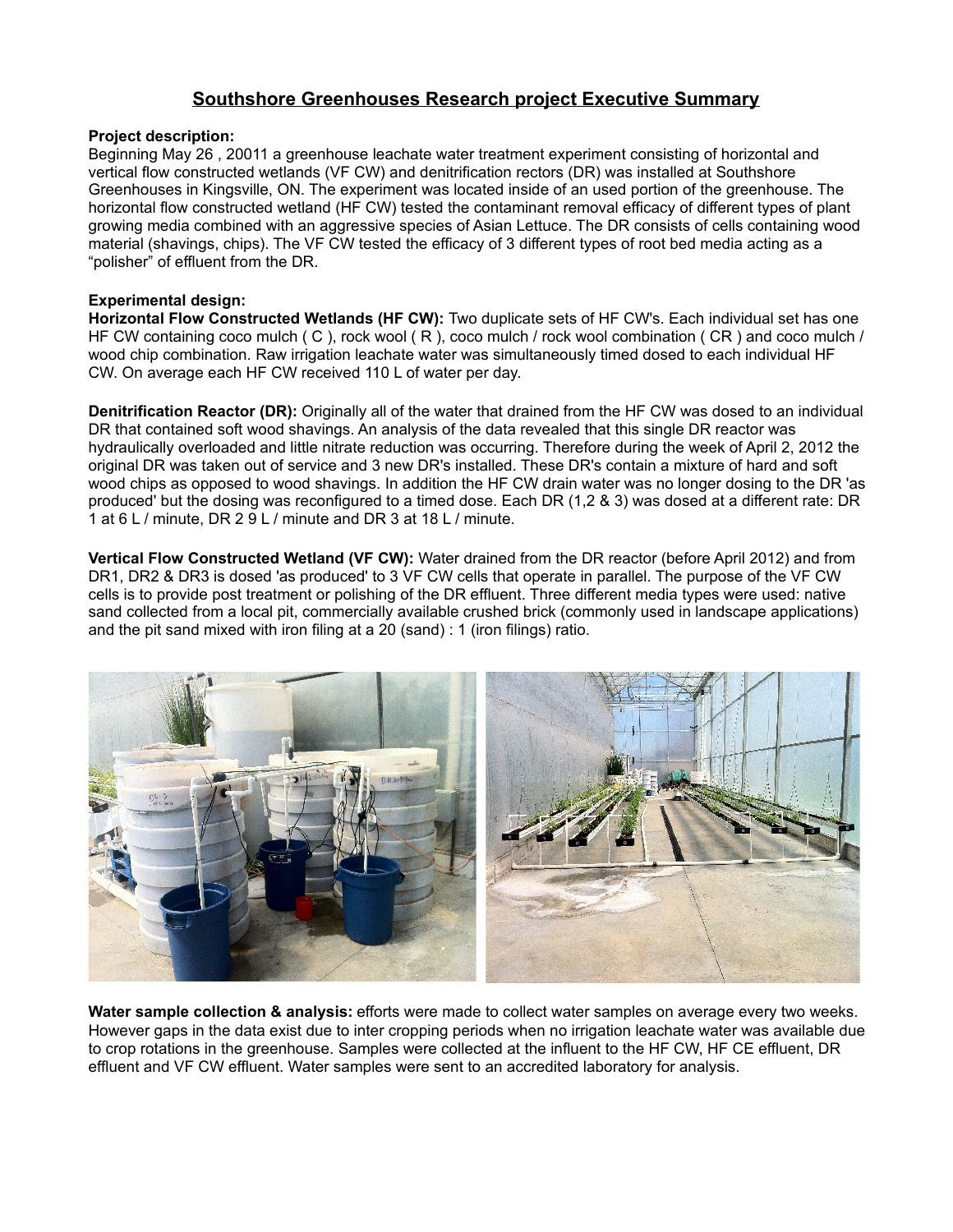# **Southshore Greenhouses Research project Executive Summary**

### **Project description:**

Beginning May 26 , 20011 a greenhouse leachate water treatment experiment consisting of horizontal and vertical flow constructed wetlands (VF CW) and denitrification rectors (DR) was installed at Southshore Greenhouses in Kingsville, ON. The experiment was located inside of an used portion of the greenhouse. The horizontal flow constructed wetland (HF CW) tested the contaminant removal efficacy of different types of plant growing media combined with an aggressive species of Asian Lettuce. The DR consists of cells containing wood material (shavings, chips). The VF CW tested the efficacy of 3 different types of root bed media acting as a "polisher" of effluent from the DR.

#### **Experimental design:**

**Horizontal Flow Constructed Wetlands (HF CW):** Two duplicate sets of HF CW's. Each individual set has one HF CW containing coco mulch ( C ), rock wool ( R ), coco mulch / rock wool combination ( CR ) and coco mulch / wood chip combination. Raw irrigation leachate water was simultaneously timed dosed to each individual HF CW. On average each HF CW received 110 L of water per day.

**Denitrification Reactor (DR):** Originally all of the water that drained from the HF CW was dosed to an individual DR that contained soft wood shavings. An analysis of the data revealed that this single DR reactor was hydraulically overloaded and little nitrate reduction was occurring. Therefore during the week of April 2, 2012 the original DR was taken out of service and 3 new DR's installed. These DR's contain a mixture of hard and soft wood chips as opposed to wood shavings. In addition the HF CW drain water was no longer dosing to the DR 'as produced' but the dosing was reconfigured to a timed dose. Each DR (1,2 & 3) was dosed at a different rate: DR 1 at 6 L / minute, DR 2 9 L / minute and DR 3 at 18 L / minute.

**Vertical Flow Constructed Wetland (VF CW):** Water drained from the DR reactor (before April 2012) and from DR1, DR2 & DR3 is dosed 'as produced' to 3 VF CW cells that operate in parallel. The purpose of the VF CW cells is to provide post treatment or polishing of the DR effluent. Three different media types were used: native sand collected from a local pit, commercially available crushed brick (commonly used in landscape applications) and the pit sand mixed with iron filing at a 20 (sand) : 1 (iron filings) ratio.



**Water sample collection & analysis:** efforts were made to collect water samples on average every two weeks. However gaps in the data exist due to inter cropping periods when no irrigation leachate water was available due to crop rotations in the greenhouse. Samples were collected at the influent to the HF CW, HF CE effluent, DR effluent and VF CW effluent. Water samples were sent to an accredited laboratory for analysis.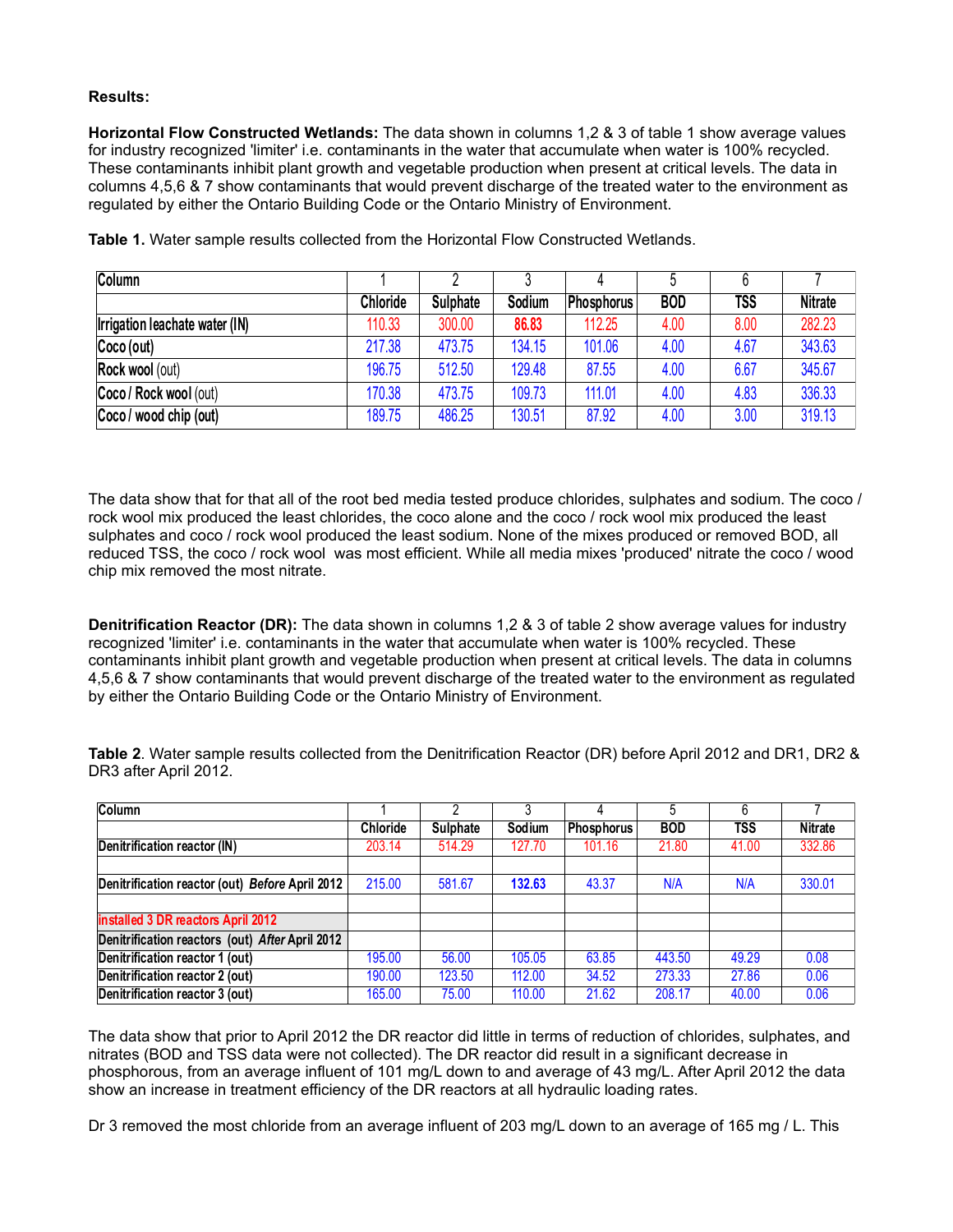### **Results:**

**Horizontal Flow Constructed Wetlands:** The data shown in columns 1,2 & 3 of table 1 show average values for industry recognized 'limiter' i.e. contaminants in the water that accumulate when water is 100% recycled. These contaminants inhibit plant growth and vegetable production when present at critical levels. The data in columns 4,5,6 & 7 show contaminants that would prevent discharge of the treated water to the environment as regulated by either the Ontario Building Code or the Ontario Ministry of Environment.

| Column                         |                 |          |        | 4                 |            |            |                |
|--------------------------------|-----------------|----------|--------|-------------------|------------|------------|----------------|
|                                | <b>Chloride</b> | Sulphate | Sodium | <b>Phosphorus</b> | <b>BOD</b> | <b>TSS</b> | <b>Nitrate</b> |
| Irrigation leachate water (IN) | 110.33          | 300.00   | 86.83  | 112.25            | 4.00       | 8.00       | 282.23         |
| Coco(out)                      | 217.38          | 473.75   | 134.15 | 101.06            | 4.00       | 4.67       | 343.63         |
| <b>Rock wool (out)</b>         | 196.75          | 512.50   | 129.48 | 87.55             | 4.00       | 6.67       | 345.67         |
| Coco / Rock wool (out)         | 170.38          | 473.75   | 109.73 | 111.01            | 4.00       | 4.83       | 336.33         |
| Coco / wood chip (out)         | 189.75          | 486.25   | 130.51 | 87.92             | 4.00       | 3.00       | 319.13         |

**Table 1.** Water sample results collected from the Horizontal Flow Constructed Wetlands.

The data show that for that all of the root bed media tested produce chlorides, sulphates and sodium. The coco / rock wool mix produced the least chlorides, the coco alone and the coco / rock wool mix produced the least sulphates and coco / rock wool produced the least sodium. None of the mixes produced or removed BOD, all reduced TSS, the coco / rock wool was most efficient. While all media mixes 'produced' nitrate the coco / wood chip mix removed the most nitrate.

**Denitrification Reactor (DR):** The data shown in columns 1,2 & 3 of table 2 show average values for industry recognized 'limiter' i.e. contaminants in the water that accumulate when water is 100% recycled. These contaminants inhibit plant growth and vegetable production when present at critical levels. The data in columns 4,5,6 & 7 show contaminants that would prevent discharge of the treated water to the environment as regulated by either the Ontario Building Code or the Ontario Ministry of Environment.

**Table 2**. Water sample results collected from the Denitrification Reactor (DR) before April 2012 and DR1, DR2 & DR3 after April 2012.

| <b>Column</b>                                   |          | n               |        |            | 5          | 6          |                |
|-------------------------------------------------|----------|-----------------|--------|------------|------------|------------|----------------|
|                                                 | Chloride | <b>Sulphate</b> | Sodium | Phosphorus | <b>BOD</b> | <b>TSS</b> | <b>Nitrate</b> |
| Denitrification reactor (IN)                    | 203.14   | 514.29          | 127.70 | 101.16     | 21.80      | 41.00      | 332.86         |
|                                                 |          |                 |        |            |            |            |                |
| Denitrification reactor (out) Before April 2012 | 215.00   | 581.67          | 132.63 | 43.37      | N/A        | N/A        | 330.01         |
|                                                 |          |                 |        |            |            |            |                |
| installed 3 DR reactors April 2012              |          |                 |        |            |            |            |                |
| Denitrification reactors (out) After April 2012 |          |                 |        |            |            |            |                |
| Denitrification reactor 1 (out)                 | 195.00   | 56.00           | 105.05 | 63.85      | 443.50     | 49.29      | 0.08           |
| Denitrification reactor 2 (out)                 | 190.00   | 123.50          | 112.00 | 34.52      | 273.33     | 27.86      | 0.06           |
| Denitrification reactor 3 (out)                 | 165.00   | 75.00           | 110.00 | 21.62      | 208.17     | 40.00      | 0.06           |

The data show that prior to April 2012 the DR reactor did little in terms of reduction of chlorides, sulphates, and nitrates (BOD and TSS data were not collected). The DR reactor did result in a significant decrease in phosphorous, from an average influent of 101 mg/L down to and average of 43 mg/L. After April 2012 the data show an increase in treatment efficiency of the DR reactors at all hydraulic loading rates.

Dr 3 removed the most chloride from an average influent of 203 mg/L down to an average of 165 mg / L. This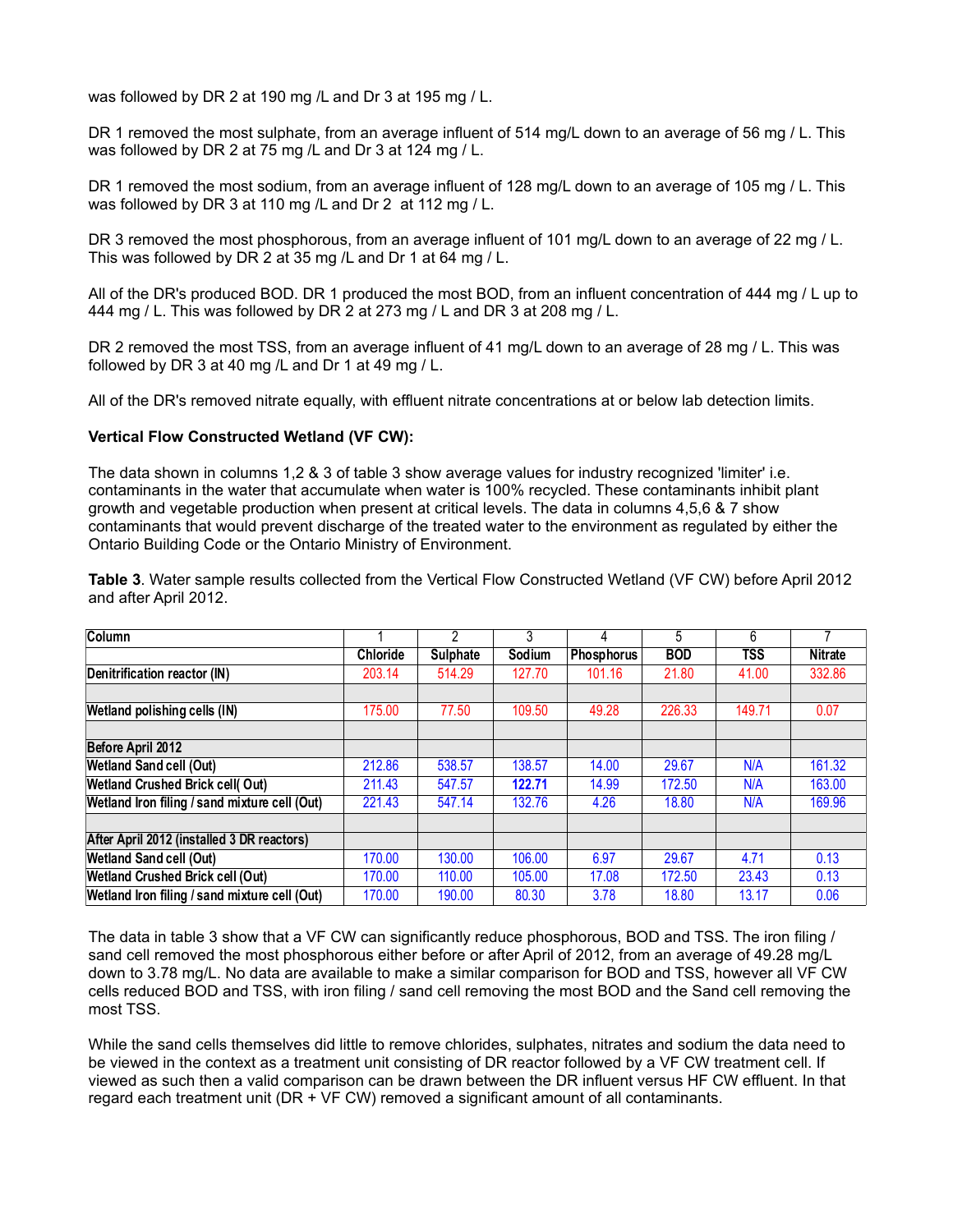was followed by DR 2 at 190 mg /L and Dr 3 at 195 mg / L.

DR 1 removed the most sulphate, from an average influent of 514 mg/L down to an average of 56 mg / L. This was followed by DR 2 at 75 mg /L and Dr 3 at 124 mg / L.

DR 1 removed the most sodium, from an average influent of 128 mg/L down to an average of 105 mg / L. This was followed by DR 3 at 110 mg /L and Dr 2 at 112 mg / L.

DR 3 removed the most phosphorous, from an average influent of 101 mg/L down to an average of 22 mg / L. This was followed by DR 2 at 35 mg /L and Dr 1 at 64 mg / L.

All of the DR's produced BOD. DR 1 produced the most BOD, from an influent concentration of 444 mg / L up to 444 mg / L. This was followed by DR 2 at 273 mg / L and DR 3 at 208 mg / L.

DR 2 removed the most TSS, from an average influent of 41 mg/L down to an average of 28 mg / L. This was followed by DR 3 at 40 mg /L and Dr 1 at 49 mg / L.

All of the DR's removed nitrate equally, with effluent nitrate concentrations at or below lab detection limits.

#### **Vertical Flow Constructed Wetland (VF CW):**

The data shown in columns 1,2 & 3 of table 3 show average values for industry recognized 'limiter' i.e. contaminants in the water that accumulate when water is 100% recycled. These contaminants inhibit plant growth and vegetable production when present at critical levels. The data in columns 4,5,6 & 7 show contaminants that would prevent discharge of the treated water to the environment as regulated by either the Ontario Building Code or the Ontario Ministry of Environment.

**Table 3**. Water sample results collected from the Vertical Flow Constructed Wetland (VF CW) before April 2012 and after April 2012.

| Column                                        |          | $\overline{2}$  | 3      | 4          | 5          | 6          |                |
|-----------------------------------------------|----------|-----------------|--------|------------|------------|------------|----------------|
|                                               | Chloride | <b>Sulphate</b> | Sodium | Phosphorus | <b>BOD</b> | <b>TSS</b> | <b>Nitrate</b> |
| Denitrification reactor (IN)                  | 203.14   | 514.29          | 127.70 | 101.16     | 21.80      | 41.00      | 332.86         |
|                                               |          |                 |        |            |            |            |                |
| Wetland polishing cells (IN)                  | 175.00   | 77.50           | 109.50 | 49.28      | 226.33     | 149.71     | 0.07           |
|                                               |          |                 |        |            |            |            |                |
| Before April 2012                             |          |                 |        |            |            |            |                |
| <b>Wetland Sand cell (Out)</b>                | 212.86   | 538.57          | 138.57 | 14.00      | 29.67      | N/A        | 161.32         |
| <b>Wetland Crushed Brick cell(Out)</b>        | 211.43   | 547.57          | 122.71 | 14.99      | 172.50     | N/A        | 163.00         |
| Wetland Iron filing / sand mixture cell (Out) | 221.43   | 547.14          | 132.76 | 4.26       | 18.80      | N/A        | 169.96         |
|                                               |          |                 |        |            |            |            |                |
| After April 2012 (installed 3 DR reactors)    |          |                 |        |            |            |            |                |
| <b>Wetland Sand cell (Out)</b>                | 170.00   | 130.00          | 106.00 | 6.97       | 29.67      | 4.71       | 0.13           |
| <b>Wetland Crushed Brick cell (Out)</b>       | 170.00   | 110.00          | 105.00 | 17.08      | 172.50     | 23.43      | 0.13           |
| Wetland Iron filing / sand mixture cell (Out) | 170.00   | 190.00          | 80.30  | 3.78       | 18.80      | 13.17      | 0.06           |

The data in table 3 show that a VF CW can significantly reduce phosphorous, BOD and TSS. The iron filing / sand cell removed the most phosphorous either before or after April of 2012, from an average of 49.28 mg/L down to 3.78 mg/L. No data are available to make a similar comparison for BOD and TSS, however all VF CW cells reduced BOD and TSS, with iron filing / sand cell removing the most BOD and the Sand cell removing the most TSS.

While the sand cells themselves did little to remove chlorides, sulphates, nitrates and sodium the data need to be viewed in the context as a treatment unit consisting of DR reactor followed by a VF CW treatment cell. If viewed as such then a valid comparison can be drawn between the DR influent versus HF CW effluent. In that regard each treatment unit (DR + VF CW) removed a significant amount of all contaminants.